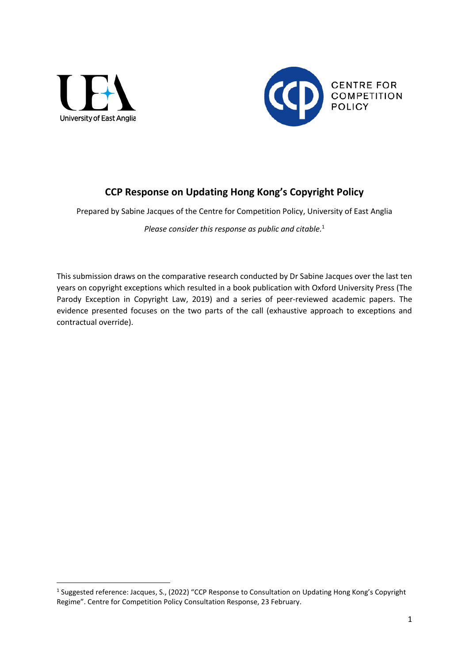



# **CCP Response on Updating Hong Kong's Copyright Policy**

Prepared by Sabine Jacques of the Centre for Competition Policy, University of East Anglia

*Please consider this response as public and citable.*<sup>1</sup>

This submission draws on the comparative research conducted by Dr Sabine Jacques over the last ten years on copyright exceptions which resulted in a book publication with Oxford University Press (The Parody Exception in Copyright Law, 2019) and a series of peer-reviewed academic papers. The evidence presented focuses on the two parts of the call (exhaustive approach to exceptions and contractual override).

<sup>&</sup>lt;sup>1</sup> Suggested reference: Jacques, S., (2022) "CCP Response to Consultation on Updating Hong Kong's Copyright Regime". Centre for Competition Policy Consultation Response, 23 February.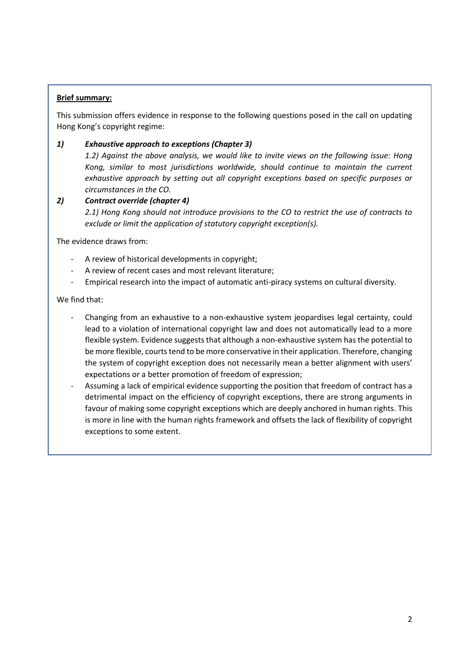# **Brief summary:**

This submission offers evidence in response to the following questions posed in the call on updating Hong Kong's copyright regime:

# *1) Exhaustive approach to exceptions (Chapter 3)*

*1.2) Against the above analysis, we would like to invite views on the following issue: Hong Kong, similar to most jurisdictions worldwide, should continue to maintain the current exhaustive approach by setting out all copyright exceptions based on specific purposes or circumstances in the CO.*

# *2) Contract override (chapter 4) 2.1) Hong Kong should not introduce provisions to the CO to restrict the use of contracts to exclude or limit the application of statutory copyright exception(s).*

The evidence draws from:

- A review of historical developments in copyright;
- A review of recent cases and most relevant literature;
- Empirical research into the impact of automatic anti-piracy systems on cultural diversity.

#### We find that:

- Changing from an exhaustive to a non-exhaustive system jeopardises legal certainty, could lead to a violation of international copyright law and does not automatically lead to a more flexible system. Evidence suggests that although a non-exhaustive system has the potential to be more flexible, courts tend to be more conservative in their application. Therefore, changing the system of copyright exception does not necessarily mean a better alignment with users' expectations or a better promotion of freedom of expression;
- Assuming a lack of empirical evidence supporting the position that freedom of contract has a detrimental impact on the efficiency of copyright exceptions, there are strong arguments in favour of making some copyright exceptions which are deeply anchored in human rights. This is more in line with the human rights framework and offsets the lack of flexibility of copyright exceptions to some extent.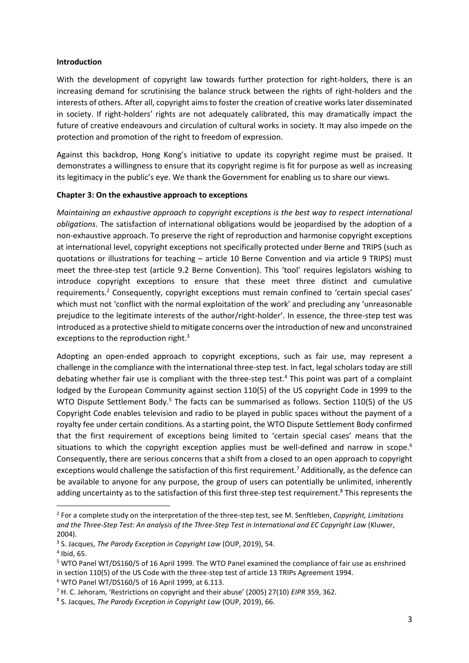#### **Introduction**

With the development of copyright law towards further protection for right-holders, there is an increasing demand for scrutinising the balance struck between the rights of right-holders and the interests of others. After all, copyright aims to foster the creation of creative works later disseminated in society. If right-holders' rights are not adequately calibrated, this may dramatically impact the future of creative endeavours and circulation of cultural works in society. It may also impede on the protection and promotion of the right to freedom of expression.

Against this backdrop, Hong Kong's initiative to update its copyright regime must be praised. It demonstrates a willingness to ensure that its copyright regime is fit for purpose as well as increasing its legitimacy in the public's eye. We thank the Government for enabling us to share our views.

# **Chapter 3: On the exhaustive approach to exceptions**

*Maintaining an exhaustive approach to copyright exceptions is the best way to respect international obligations*. The satisfaction of international obligations would be jeopardised by the adoption of a non-exhaustive approach. To preserve the right of reproduction and harmonise copyright exceptions at international level, copyright exceptions not specifically protected under Berne and TRIPS (such as quotations or illustrations for teaching – article 10 Berne Convention and via article 9 TRIPS) must meet the three-step test (article 9.2 Berne Convention). This 'tool' requires legislators wishing to introduce copyright exceptions to ensure that these meet three distinct and cumulative requirements.<sup>2</sup> Consequently, copyright exceptions must remain confined to 'certain special cases' which must not 'conflict with the normal exploitation of the work' and precluding any 'unreasonable prejudice to the legitimate interests of the author/right-holder'. In essence, the three-step test was introduced as a protective shield to mitigate concerns over the introduction of new and unconstrained exceptions to the reproduction right.<sup>3</sup>

Adopting an open-ended approach to copyright exceptions, such as fair use, may represent a challenge in the compliance with the international three-step test. In fact, legal scholars today are still debating whether fair use is compliant with the three-step test.<sup>4</sup> This point was part of a complaint lodged by the European Community against section 110(5) of the US copyright Code in 1999 to the WTO Dispute Settlement Body.<sup>5</sup> The facts can be summarised as follows. Section 110(5) of the US Copyright Code enables television and radio to be played in public spaces without the payment of a royalty fee under certain conditions. As a starting point, the WTO Dispute Settlement Body confirmed that the first requirement of exceptions being limited to 'certain special cases' means that the situations to which the copyright exception applies must be well-defined and narrow in scope.<sup>6</sup> Consequently, there are serious concerns that a shift from a closed to an open approach to copyright exceptions would challenge the satisfaction of this first requirement.<sup>7</sup> Additionally, as the defence can be available to anyone for any purpose, the group of users can potentially be unlimited, inherently adding uncertainty as to the satisfaction of this first three-step test requirement.<sup>8</sup> This represents the

<sup>2</sup> For a complete study on the interpretation of the three-step test, see M. Senftleben, *Copyright, Limitations and the Three-Step Test: An analysis of the Three-Step Test in International and EC Copyright Law* (Kluwer, 2004).

<sup>3</sup> S. Jacques, *The Parody Exception in Copyright Law* (OUP, 2019), 54.

<sup>4</sup> Ibid, 65.

<sup>5</sup> WTO Panel WT/DS160/5 of 16 April 1999. The WTO Panel examined the compliance of fair use as enshrined in section 110(5) of the US Code with the three-step test of article 13 TRIPs Agreement 1994.

<sup>6</sup> WTO Panel WT/DS160/5 of 16 April 1999, at 6.113.

<sup>7</sup> H. C. Jehoram, 'Restrictions on copyright and their abuse' (2005) 27(10) *EIPR* 359, 362.

<sup>8</sup> S. Jacques, *The Parody Exception in Copyright Law* (OUP, 2019), 66.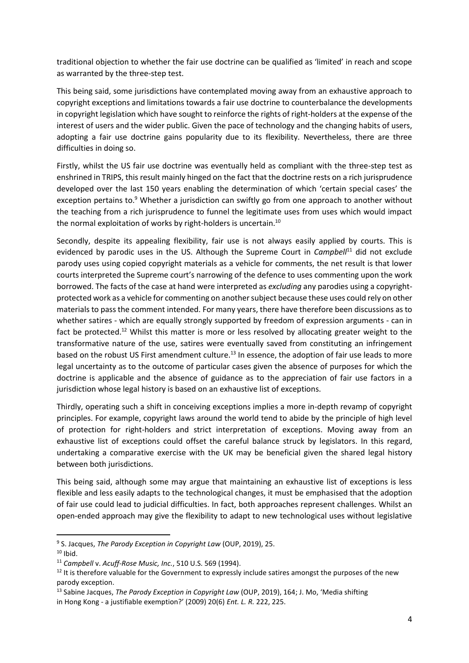traditional objection to whether the fair use doctrine can be qualified as 'limited' in reach and scope as warranted by the three-step test.

This being said, some jurisdictions have contemplated moving away from an exhaustive approach to copyright exceptions and limitations towards a fair use doctrine to counterbalance the developments in copyright legislation which have sought to reinforce the rights of right-holders at the expense of the interest of users and the wider public. Given the pace of technology and the changing habits of users, adopting a fair use doctrine gains popularity due to its flexibility. Nevertheless, there are three difficulties in doing so.

Firstly, whilst the US fair use doctrine was eventually held as compliant with the three-step test as enshrined in TRIPS, this result mainly hinged on the fact that the doctrine rests on a rich jurisprudence developed over the last 150 years enabling the determination of which 'certain special cases' the exception pertains to.<sup>9</sup> Whether a jurisdiction can swiftly go from one approach to another without the teaching from a rich jurisprudence to funnel the legitimate uses from uses which would impact the normal exploitation of works by right-holders is uncertain.<sup>10</sup>

Secondly, despite its appealing flexibility, fair use is not always easily applied by courts. This is evidenced by parodic uses in the US. Although the Supreme Court in *Campbell*<sup>11</sup> did not exclude parody uses using copied copyright materials as a vehicle for comments, the net result is that lower courts interpreted the Supreme court's narrowing of the defence to uses commenting upon the work borrowed. The facts of the case at hand were interpreted as *excluding* any parodies using a copyrightprotected work as a vehicle for commenting on another subject because these uses could rely on other materials to pass the comment intended. For many years, there have therefore been discussions as to whether satires - which are equally strongly supported by freedom of expression arguments - can in fact be protected.<sup>12</sup> Whilst this matter is more or less resolved by allocating greater weight to the transformative nature of the use, satires were eventually saved from constituting an infringement based on the robust US First amendment culture.<sup>13</sup> In essence, the adoption of fair use leads to more legal uncertainty as to the outcome of particular cases given the absence of purposes for which the doctrine is applicable and the absence of guidance as to the appreciation of fair use factors in a jurisdiction whose legal history is based on an exhaustive list of exceptions.

Thirdly, operating such a shift in conceiving exceptions implies a more in-depth revamp of copyright principles. For example, copyright laws around the world tend to abide by the principle of high level of protection for right-holders and strict interpretation of exceptions. Moving away from an exhaustive list of exceptions could offset the careful balance struck by legislators. In this regard, undertaking a comparative exercise with the UK may be beneficial given the shared legal history between both jurisdictions.

This being said, although some may argue that maintaining an exhaustive list of exceptions is less flexible and less easily adapts to the technological changes, it must be emphasised that the adoption of fair use could lead to judicial difficulties. In fact, both approaches represent challenges. Whilst an open-ended approach may give the flexibility to adapt to new technological uses without legislative

<sup>9</sup> S. Jacques, *The Parody Exception in Copyright Law* (OUP, 2019), 25.

 $10$  Ibid.

<sup>11</sup> *Campbell* v. *Acuff-Rose Music, Inc.*, 510 U.S. 569 (1994).

 $12$  It is therefore valuable for the Government to expressly include satires amongst the purposes of the new parody exception.

<sup>13</sup> Sabine Jacques, *The Parody Exception in Copyright Law* (OUP, 2019), 164; J. Mo, 'Media shifting in Hong Kong - a justifiable exemption?' (2009) 20(6) *Ent. L. R.* 222, 225.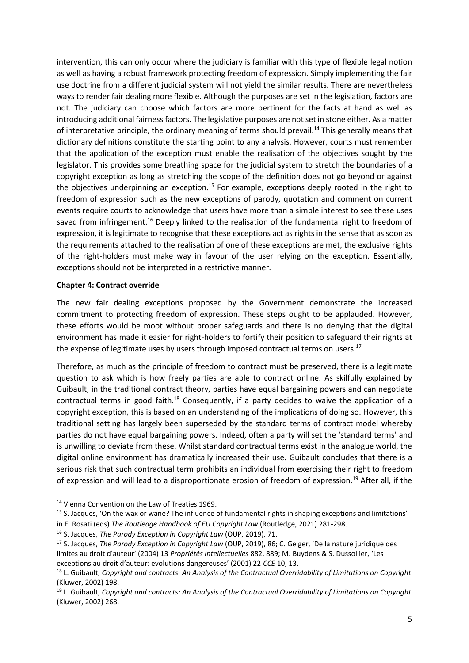intervention, this can only occur where the judiciary is familiar with this type of flexible legal notion as well as having a robust framework protecting freedom of expression. Simply implementing the fair use doctrine from a different judicial system will not yield the similar results. There are nevertheless ways to render fair dealing more flexible. Although the purposes are set in the legislation, factors are not. The judiciary can choose which factors are more pertinent for the facts at hand as well as introducing additional fairness factors. The legislative purposes are not set in stone either. As a matter of interpretative principle, the ordinary meaning of terms should prevail.<sup>14</sup> This generally means that dictionary definitions constitute the starting point to any analysis. However, courts must remember that the application of the exception must enable the realisation of the objectives sought by the legislator. This provides some breathing space for the judicial system to stretch the boundaries of a copyright exception as long as stretching the scope of the definition does not go beyond or against the objectives underpinning an exception.<sup>15</sup> For example, exceptions deeply rooted in the right to freedom of expression such as the new exceptions of parody, quotation and comment on current events require courts to acknowledge that users have more than a simple interest to see these uses saved from infringement.<sup>16</sup> Deeply linked to the realisation of the fundamental right to freedom of expression, it is legitimate to recognise that these exceptions act as rights in the sense that as soon as the requirements attached to the realisation of one of these exceptions are met, the exclusive rights of the right-holders must make way in favour of the user relying on the exception. Essentially, exceptions should not be interpreted in a restrictive manner.

#### **Chapter 4: Contract override**

The new fair dealing exceptions proposed by the Government demonstrate the increased commitment to protecting freedom of expression. These steps ought to be applauded. However, these efforts would be moot without proper safeguards and there is no denying that the digital environment has made it easier for right-holders to fortify their position to safeguard their rights at the expense of legitimate uses by users through imposed contractual terms on users.<sup>17</sup>

Therefore, as much as the principle of freedom to contract must be preserved, there is a legitimate question to ask which is how freely parties are able to contract online. As skilfully explained by Guibault, in the traditional contract theory, parties have equal bargaining powers and can negotiate contractual terms in good faith.<sup>18</sup> Consequently, if a party decides to waive the application of a copyright exception, this is based on an understanding of the implications of doing so. However, this traditional setting has largely been superseded by the standard terms of contract model whereby parties do not have equal bargaining powers. Indeed, often a party will set the 'standard terms' and is unwilling to deviate from these. Whilst standard contractual terms exist in the analogue world, the digital online environment has dramatically increased their use. Guibault concludes that there is a serious risk that such contractual term prohibits an individual from exercising their right to freedom of expression and will lead to a disproportionate erosion of freedom of expression.<sup>19</sup> After all, if the

<sup>14</sup> Vienna Convention on the Law of Treaties 1969.

<sup>&</sup>lt;sup>15</sup> S. Jacques, 'On the wax or wane? The influence of fundamental rights in shaping exceptions and limitations'

in E. Rosati (eds) *The Routledge Handbook of EU Copyright Law* (Routledge, 2021) 281-298.

<sup>16</sup> S. Jacques, *The Parody Exception in Copyright Law* (OUP, 2019), 71.

<sup>17</sup> S. Jacques, *The Parody Exception in Copyright Law* (OUP, 2019), 86; C. Geiger, 'De la nature juridique des limites au droit d'auteur' (2004) 13 *Propriétés Intellectuelles* 882, 889; M. Buydens & S. Dussollier, 'Les exceptions au droit d'auteur: evolutions dangereuses' (2001) 22 *CCE* 10, 13.

<sup>18</sup> L. Guibault, *Copyright and contracts: An Analysis of the Contractual Overridability of Limitations on Copyright* (Kluwer, 2002) 198.

<sup>19</sup> L. Guibault, *Copyright and contracts: An Analysis of the Contractual Overridability of Limitations on Copyright* (Kluwer, 2002) 268.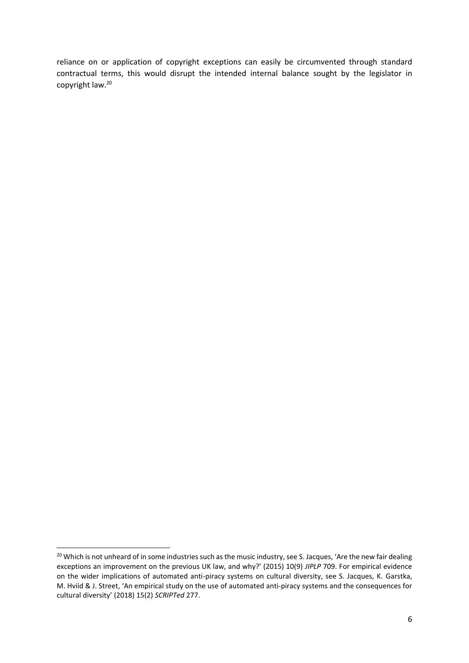reliance on or application of copyright exceptions can easily be circumvented through standard contractual terms, this would disrupt the intended internal balance sought by the legislator in copyright law.<sup>20</sup>

<sup>&</sup>lt;sup>20</sup> Which is not unheard of in some industries such as the music industry, see S. Jacques, 'Are the new fair dealing exceptions an improvement on the previous UK law, and why?' (2015) 10(9) *JIPLP* 709. For empirical evidence on the wider implications of automated anti-piracy systems on cultural diversity, see S. Jacques, K. Garstka, M. Hviid & J. Street, 'An empirical study on the use of automated anti-piracy systems and the consequences for cultural diversity' (2018) 15(2) *SCRIPTed* 277.